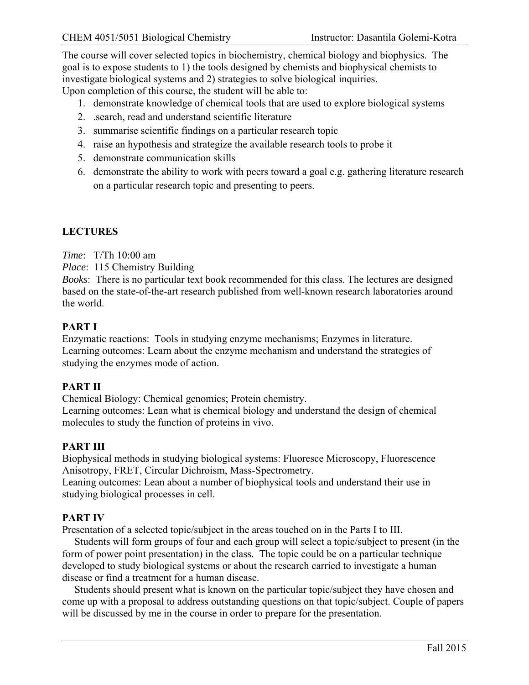The course will cover selected topics in biochemistry, chemical biology and biophysics. The goal is to expose students to 1) the tools designed by chemists and biophysical chemists to investigate biological systems and 2) strategies to solve biological inquiries. Upon completion of this course, the student will be able to:

1. demonstrate knowledge of chemical tools that are used to explore biological systems

- 2. .search, read and understand scientific literature
- 3. summarise scientific findings on a particular research topic
- 4. raise an hypothesis and strategize the available research tools to probe it
- 5. demonstrate communication skills
- 6. demonstrate the ability to work with peers toward a goal e.g. gathering literature research on a particular research topic and presenting to peers.

# **LECTURES**

*Time*: T/Th 10:00 am

*Place*: 115 Chemistry Building

*Books*: There is no particular text book recommended for this class. The lectures are designed based on the state-of-the-art research published from well-known research laboratories around the world.

## **PART I**

Enzymatic reactions: Tools in studying enzyme mechanisms; Enzymes in literature. Learning outcomes: Learn about the enzyme mechanism and understand the strategies of studying the enzymes mode of action.

## **PART II**

Chemical Biology: Chemical genomics; Protein chemistry.

Learning outcomes: Lean what is chemical biology and understand the design of chemical molecules to study the function of proteins in vivo.

## **PART III**

Biophysical methods in studying biological systems: Fluoresce Microscopy, Fluorescence Anisotropy, FRET, Circular Dichroism, Mass-Spectrometry.

Leaning outcomes: Lean about a number of biophysical tools and understand their use in studying biological processes in cell.

## **PART IV**

Presentation of a selected topic/subject in the areas touched on in the Parts I to III.

Students will form groups of four and each group will select a topic/subject to present (in the form of power point presentation) in the class. The topic could be on a particular technique developed to study biological systems or about the research carried to investigate a human disease or find a treatment for a human disease.

Students should present what is known on the particular topic/subject they have chosen and come up with a proposal to address outstanding questions on that topic/subject. Couple of papers will be discussed by me in the course in order to prepare for the presentation.